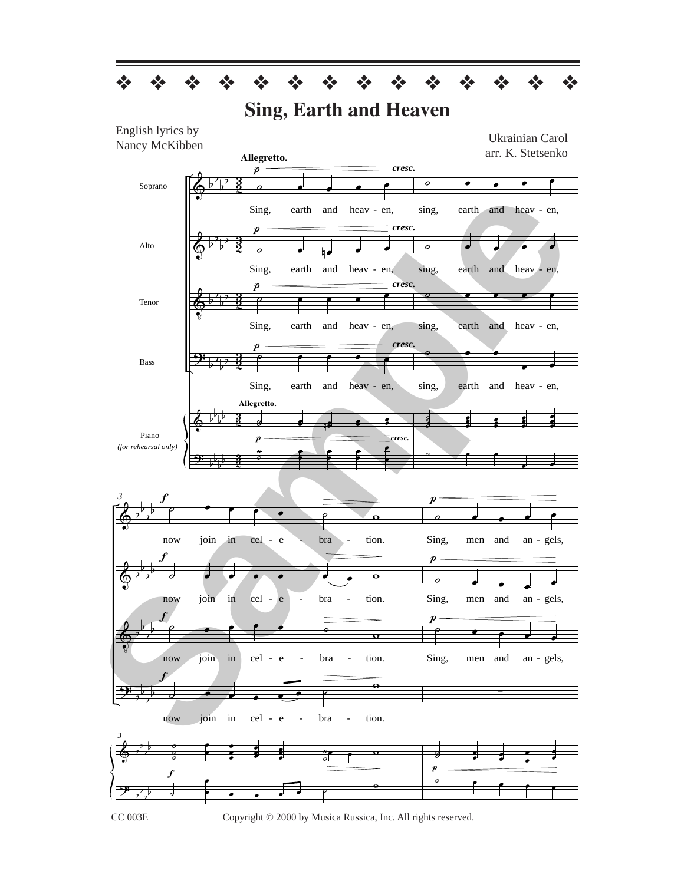

CC 003E Copyright © 2000 by Musica Russica, Inc. All rights reserved.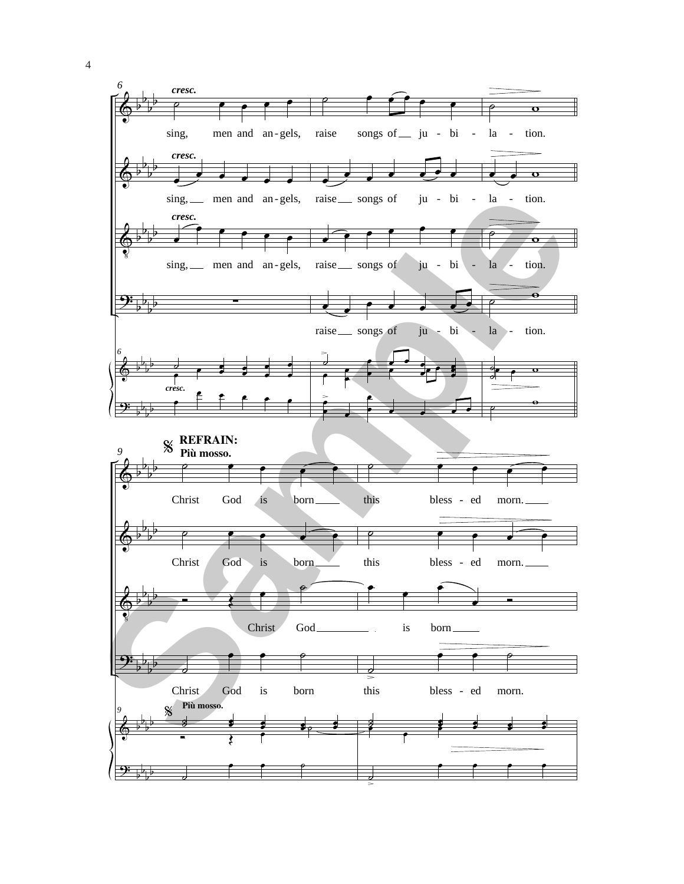



˙  $\frac{a}{b}$  œ œ œ œ

4

<u> 9:</u>

*9*

b b b b  $\begin{array}{ccc} \circ & \bullet & \bullet & \circ \\ \circ & \circ & \circ & \circ \end{array}$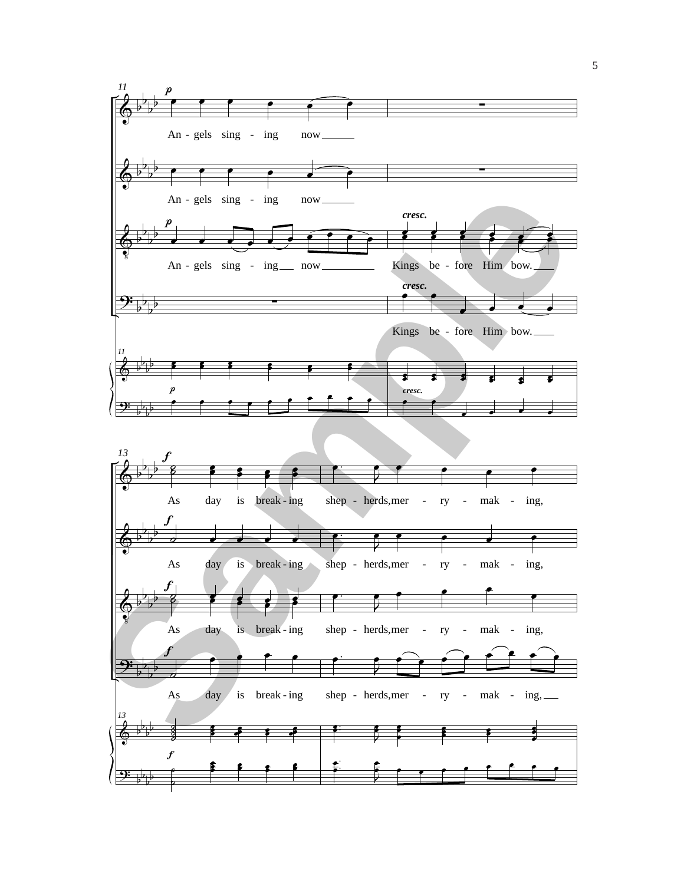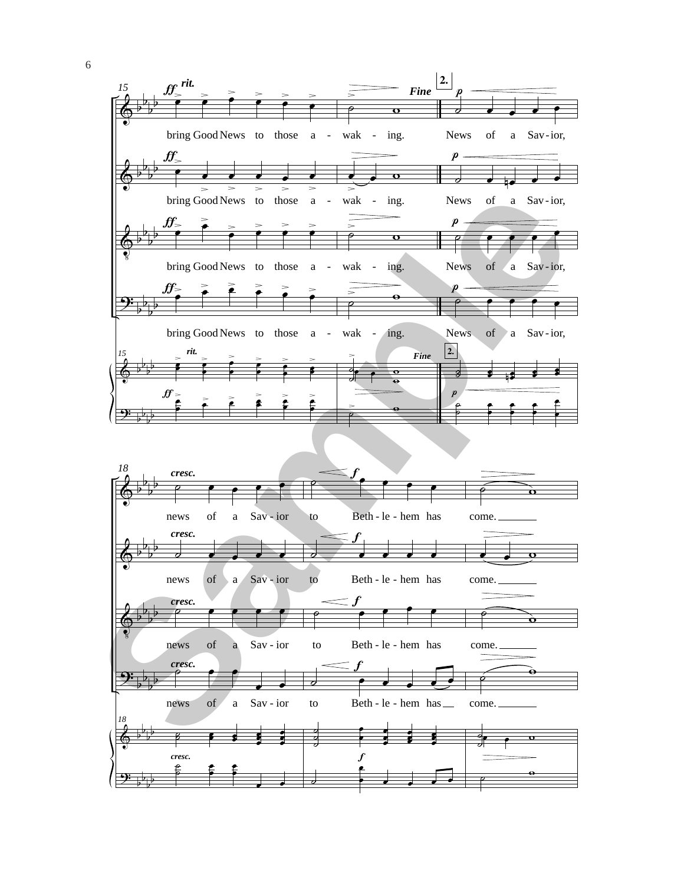

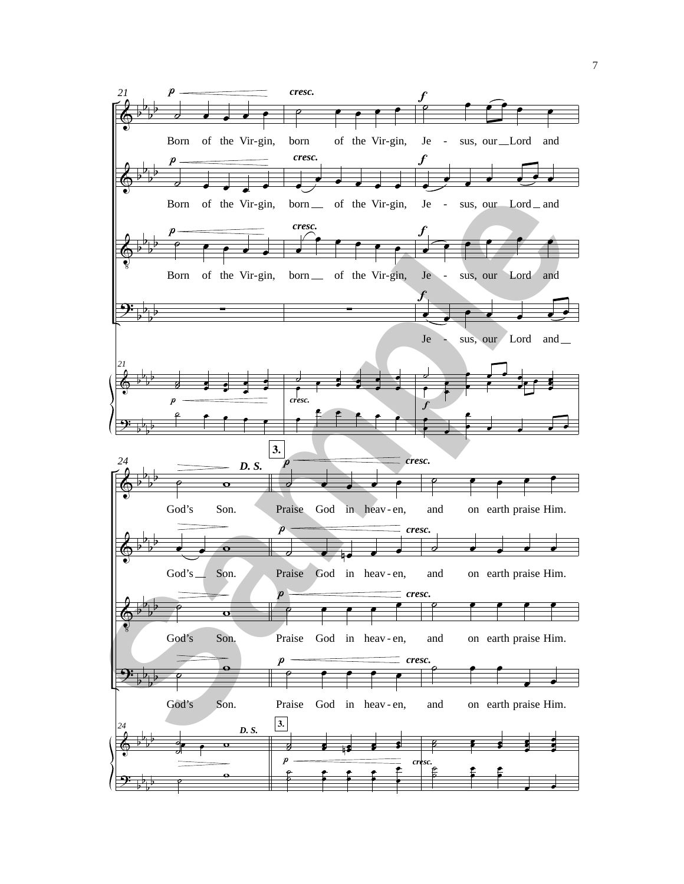